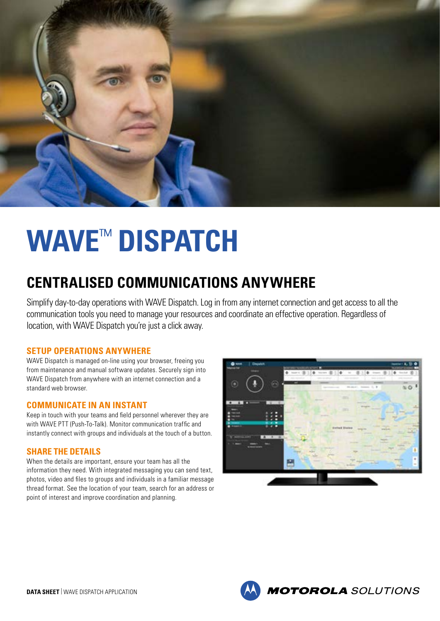

# **WAVE**™ **DISPATCH**

# **CENTRALISED COMMUNICATIONS ANYWHERE**

Simplify day-to-day operations with WAVE Dispatch. Log in from any internet connection and get access to all the communication tools you need to manage your resources and coordinate an effective operation. Regardless of location, with WAVE Dispatch you're just a click away.

### **SETUP OPERATIONS ANYWHERE**

WAVE Dispatch is managed on-line using your browser, freeing you from maintenance and manual software updates. Securely sign into WAVE Dispatch from anywhere with an internet connection and a standard web browser.

#### **COMMUNICATE IN AN INSTANT**

Keep in touch with your teams and field personnel wherever they are with WAVE PTT (Push-To-Talk). Monitor communication traffic and instantly connect with groups and individuals at the touch of a button.

### **SHARE THE DETAILS**

When the details are important, ensure your team has all the information they need. With integrated messaging you can send text, photos, video and files to groups and individuals in a familiar message thread format. See the location of your team, search for an address or point of interest and improve coordination and planning.